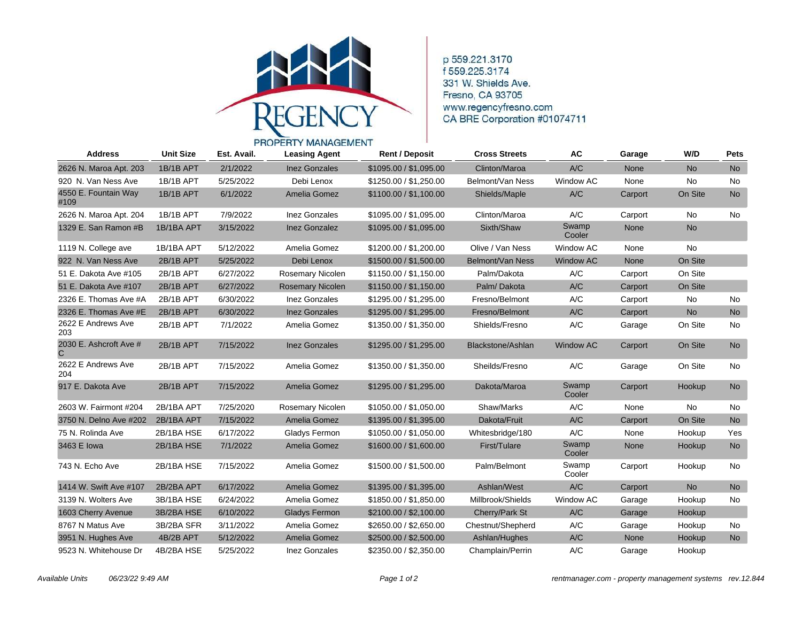

p 559.221.3170 f 559 225 3174 331 W. Shields Ave. Fresno, CA 93705 www.regencyfresno.com CA BRE Corporation #01074711

## 2626 N. Maroa Apt. 203 1B/1B APT 2/1/2022 Inez Gonzales \$1095.00 / \$1,095.00 Clinton/Maroa A/C None No No 920 N. Van Ness Ave 1B/1B APT 5/25/2022 Debi Lenox \$1250.00 / \$1,250.00 Belmont/Van Ness Window AC None No No 4550 E. Fountain Way #109 1B/1B APT 6/1/2022 Amelia Gomez \$1100.00 / \$1,100.00 Shields/Maple A/C Carport On Site No 2626 N. Maroa Apt. 204 1B/1B APT 7/9/2022 Inez Gonzales \$1095.00 / \$1,095.00 Clinton/Maroa A/C Carport No No 1329 E. San Ramon #B 1B/1BA APT 3/15/2022 Inez Gonzalez \$1095.00 / \$1,095.00 Sixth/Shaw Swamp Cooler None No 1119 N. College ave 1B/1BA APT 5/12/2022 Amelia Gomez \$1200.00 / \$1,200.00 Olive / Van Ness Window AC None No 922 N. Van Ness Ave 2B/1B APT 5/25/2022 Debi Lenox \$1500.00 / \$1,500.00 Belmont/Van Ness Window AC None On Site 51 E. Dakota Ave #105 2B/1B APT 6/27/2022 Rosemary Nicolen \$1150.00 / \$1,150.00 Palm/Dakota A/C Carport On Site 51 E. Dakota Ave #107 2B/1B APT 6/27/2022 Rosemary Nicolen \$1150.00 / \$1,150.00 Palm/ Dakota A/C Carport On Site 2326 E. Thomas Ave #A 2B/1B APT 6/30/2022 Inez Gonzales \$1295.00 / \$1,295.00 Fresno/Belmont A/C Carport No No 2326 E. Thomas Ave #E 2B/1B APT 6/30/2022 Inez Gonzales \$1295.00 / \$1,295.00 Fresno/Belmont A/C Carport No No 2622 E Andrews Ave 203 2B/1B APT 7/1/2022 Amelia Gomez \$1350.00 / \$1,350.00 Shields/Fresno A/C Garage On Site No 2030 E. Ashcroft Ave #  $\mathsf{C}$ 2B/1B APT 7/15/2022 Inez Gonzales \$1295.00 / \$1,295.00 Blackstone/Ashlan Window AC Carport On Site No 2622 E Andrews Ave 204 2B/1B APT 7/15/2022 Amelia Gomez \$1350.00 / \$1,350.00 Sheilds/Fresno A/C Garage On Site No 917 E. Dakota Ave 2B/1B APT 7/15/2022 Amelia Gomez \$1295.00 / \$1,295.00 Dakota/Maroa Swamp Cooler Carport Hookup No 2603 W. Fairmont #204 2B/1BA APT 7/25/2020 Rosemary Nicolen \$1050.00 / \$1,050.00 Shaw/Marks A/C None No No 3750 N. Delno Ave #202 2B/1BA APT 7/15/2022 Amelia Gomez \$1395.00 / \$1,395.00 Dakota/Fruit A/C Carport On Site No 75 N. Rolinda Ave 2B/1BA HSE 6/17/2022 Gladys Fermon \$1050.00 / \$1,050.00 Whitesbridge/180 A/C None Hookup Yes 3463 E Iowa 2B/1BA HSE 7/1/2022 Amelia Gomez \$1600.00 / \$1,600.00 First/Tulare Swamp Cooler None Hookup No 743 N. Echo Ave 2B/1BA HSE 7/15/2022 Amelia Gomez \$1500.00 / \$1,500.00 Palm/Belmont Swamp Cooler Carport Hookup No 1414 W. Swift Ave #107 2B/2BA APT 6/17/2022 Amelia Gomez \$1395.00 / \$1,395.00 Ashlan/West A/C Carport No No 3139 N. Wolters Ave 3B/1BA HSE 6/24/2022 Amelia Gomez \$1850.00 / \$1,850.00 Millbrook/Shields Window AC Garage Hookup No 1603 Cherry Avenue 3B/2BA HSE 6/10/2022 Gladys Fermon \$2100.00 / \$2,100.00 Cherry/Park St A/C Garage Hookup 8767 N Matus Ave 3B/2BA SFR 3/11/2022 Amelia Gomez \$2650.00 / \$2,650.00 Chestnut/Shepherd A/C Garage Hookup No 3951 N. Hughes Ave 4B/2B APT 5/12/2022 Amelia Gomez \$2500.00 / \$2,500.00 Ashlan/Hughes A/C None Hookup No 9523 N. Whitehouse Dr 4B/2BA HSE 5/25/2022 Inez Gonzales \$2350.00 / \$2,350.00 Champlain/Perrin A/C Garage Hookup **Address Unit Size Est. Avail. Leasing Agent Rent / Deposit Cross Streets AC Garage W/D Pets**